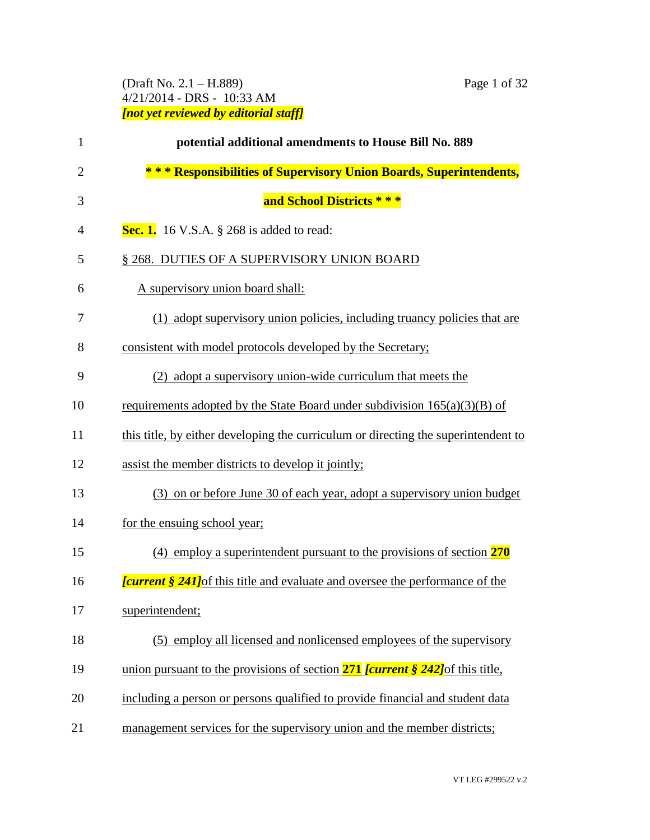# (Draft No. 2.1 – H.889) Page 1 of 32 4/21/2014 - DRS - 10:33 AM *[not yet reviewed by editorial staff]*

| $\mathbf{1}$   | potential additional amendments to House Bill No. 889                                                |
|----------------|------------------------------------------------------------------------------------------------------|
| $\overline{2}$ | * * * Responsibilities of Supervisory Union Boards, Superintendents,                                 |
| 3              | and School Districts ***                                                                             |
| 4              | Sec. 1. 16 V.S.A. $\S$ 268 is added to read:                                                         |
| 5              | § 268. DUTIES OF A SUPERVISORY UNION BOARD                                                           |
| 6              | A supervisory union board shall:                                                                     |
| 7              | (1) adopt supervisory union policies, including truancy policies that are                            |
| 8              | consistent with model protocols developed by the Secretary;                                          |
| 9              | (2) adopt a supervisory union-wide curriculum that meets the                                         |
| 10             | requirements adopted by the State Board under subdivision $165(a)(3)(B)$ of                          |
| 11             | this title, by either developing the curriculum or directing the superintendent to                   |
| 12             | assist the member districts to develop it jointly;                                                   |
| 13             | (3) on or before June 30 of each year, adopt a supervisory union budget                              |
| 14             | for the ensuing school year;                                                                         |
| 15             | $(4)$ employ a superintendent pursuant to the provisions of section <b>270</b>                       |
| 16             | <b><i>current § 241</i></b> of this title and evaluate and oversee the performance of the            |
| 17             | superintendent;                                                                                      |
| 18             | (5) employ all licensed and nonlicensed employees of the supervisory                                 |
| 19             | union pursuant to the provisions of section $271$ [current $\frac{242}{\text{ of this}}$ this title, |
| 20             | including a person or persons qualified to provide financial and student data                        |
| 21             | management services for the supervisory union and the member districts;                              |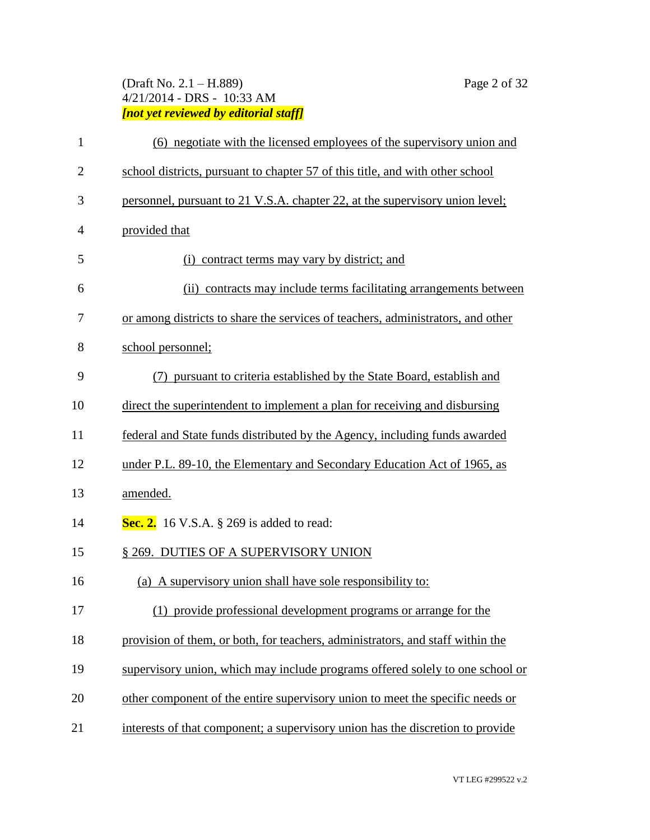# (Draft No. 2.1 – H.889) Page 2 of 32 4/21/2014 - DRS - 10:33 AM *[not yet reviewed by editorial staff]*

| $\mathbf{1}$   | (6) negotiate with the licensed employees of the supervisory union and          |
|----------------|---------------------------------------------------------------------------------|
| $\overline{2}$ | school districts, pursuant to chapter 57 of this title, and with other school   |
| 3              | personnel, pursuant to 21 V.S.A. chapter 22, at the supervisory union level;    |
| 4              | provided that                                                                   |
| 5              | (i) contract terms may vary by district; and                                    |
| 6              | (ii) contracts may include terms facilitating arrangements between              |
| 7              | or among districts to share the services of teachers, administrators, and other |
| 8              | school personnel;                                                               |
| 9              | (7) pursuant to criteria established by the State Board, establish and          |
| 10             | direct the superintendent to implement a plan for receiving and disbursing      |
| 11             | federal and State funds distributed by the Agency, including funds awarded      |
| 12             | under P.L. 89-10, the Elementary and Secondary Education Act of 1965, as        |
| 13             | amended.                                                                        |
| 14             | Sec. 2. 16 V.S.A. $\S$ 269 is added to read:                                    |
| 15             | § 269. DUTIES OF A SUPERVISORY UNION                                            |
| 16             | (a) A supervisory union shall have sole responsibility to:                      |
| 17             | (1) provide professional development programs or arrange for the                |
| 18             | provision of them, or both, for teachers, administrators, and staff within the  |
| 19             | supervisory union, which may include programs offered solely to one school or   |
| 20             | other component of the entire supervisory union to meet the specific needs or   |
| 21             | interests of that component; a supervisory union has the discretion to provide  |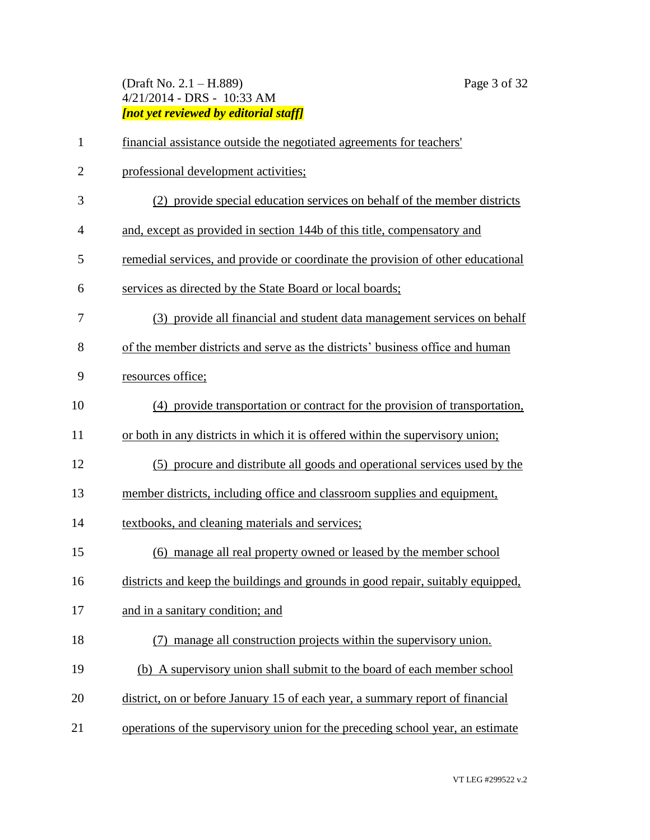# (Draft No. 2.1 – H.889) Page 3 of 32 4/21/2014 - DRS - 10:33 AM *[not yet reviewed by editorial staff]*

| 1              | financial assistance outside the negotiated agreements for teachers'            |
|----------------|---------------------------------------------------------------------------------|
| $\overline{2}$ | professional development activities;                                            |
| 3              | (2) provide special education services on behalf of the member districts        |
| 4              | and, except as provided in section 144b of this title, compensatory and         |
| 5              | remedial services, and provide or coordinate the provision of other educational |
| 6              | services as directed by the State Board or local boards;                        |
| 7              | (3) provide all financial and student data management services on behalf        |
| 8              | of the member districts and serve as the districts' business office and human   |
| 9              | resources office;                                                               |
| 10             | (4) provide transportation or contract for the provision of transportation.     |
| 11             | or both in any districts in which it is offered within the supervisory union;   |
| 12             | (5) procure and distribute all goods and operational services used by the       |
| 13             | member districts, including office and classroom supplies and equipment,        |
| 14             | textbooks, and cleaning materials and services;                                 |
| 15             | (6) manage all real property owned or leased by the member school               |
| 16             | districts and keep the buildings and grounds in good repair, suitably equipped, |
| 17             | and in a sanitary condition; and                                                |
| 18             | manage all construction projects within the supervisory union.                  |
| 19             | (b) A supervisory union shall submit to the board of each member school         |
| 20             | district, on or before January 15 of each year, a summary report of financial   |
| 21             | operations of the supervisory union for the preceding school year, an estimate  |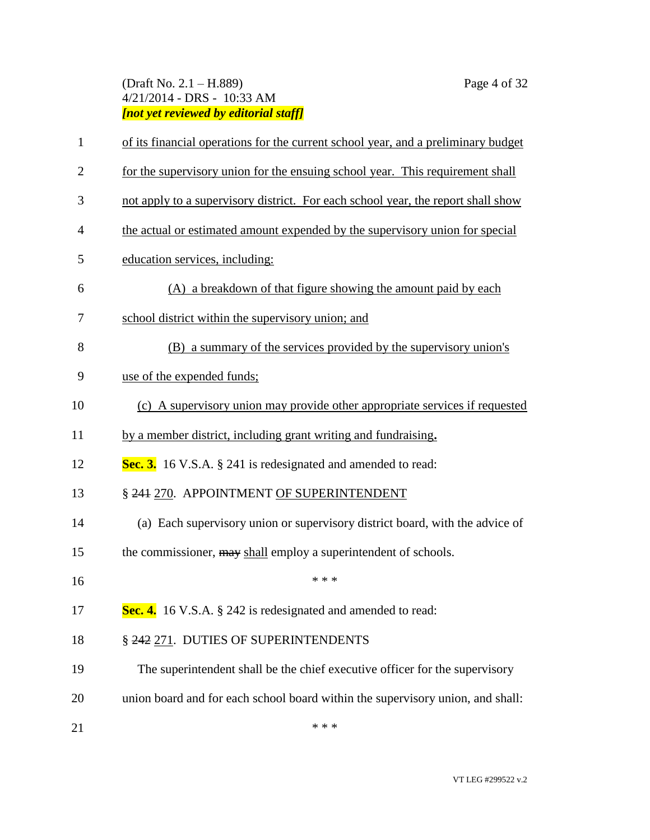# (Draft No. 2.1 – H.889) Page 4 of 32 4/21/2014 - DRS - 10:33 AM *[not yet reviewed by editorial staff]*

| $\mathbf{1}$   | of its financial operations for the current school year, and a preliminary budget |
|----------------|-----------------------------------------------------------------------------------|
| $\mathbf{2}$   | for the supervisory union for the ensuing school year. This requirement shall     |
| 3              | not apply to a supervisory district. For each school year, the report shall show  |
| $\overline{4}$ | the actual or estimated amount expended by the supervisory union for special      |
| 5              | education services, including:                                                    |
| 6              | (A) a breakdown of that figure showing the amount paid by each                    |
| 7              | school district within the supervisory union; and                                 |
| 8              | (B) a summary of the services provided by the supervisory union's                 |
| 9              | use of the expended funds;                                                        |
| 10             | (c) A supervisory union may provide other appropriate services if requested       |
| 11             | by a member district, including grant writing and fundraising.                    |
| 12             | Sec. 3. 16 V.S.A. § 241 is redesignated and amended to read:                      |
| 13             | § 241 270. APPOINTMENT OF SUPERINTENDENT                                          |
| 14             | (a) Each supervisory union or supervisory district board, with the advice of      |
| 15             | the commissioner, may shall employ a superintendent of schools.                   |
| 16             | * * *                                                                             |
| 17             | Sec. 4. 16 V.S.A. § 242 is redesignated and amended to read:                      |
| 18             | § 242 271. DUTIES OF SUPERINTENDENTS                                              |
| 19             | The superintendent shall be the chief executive officer for the supervisory       |
| 20             | union board and for each school board within the supervisory union, and shall:    |
| 21             | * * *                                                                             |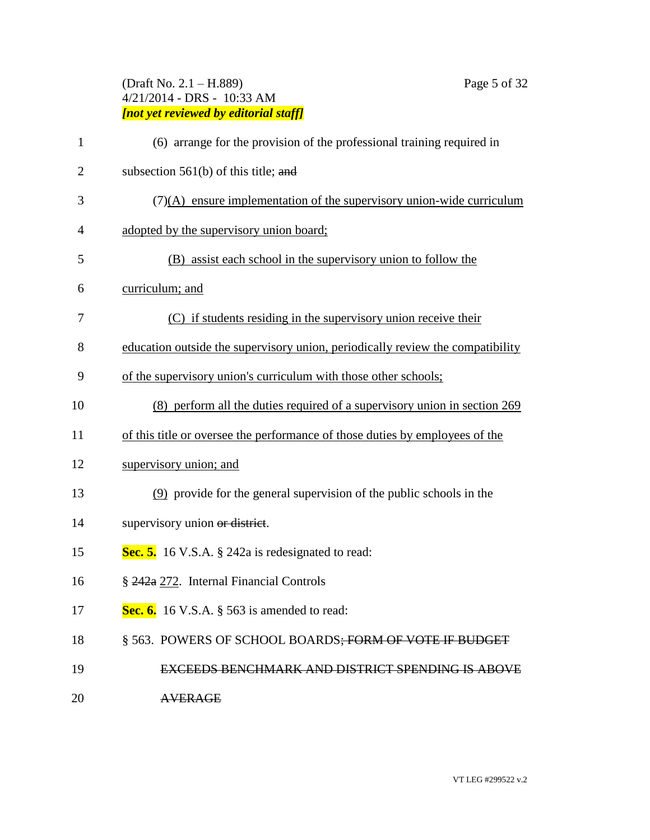# (Draft No. 2.1 – H.889) Page 5 of 32 4/21/2014 - DRS - 10:33 AM *[not yet reviewed by editorial staff]*

| 1              | (6) arrange for the provision of the professional training required in         |
|----------------|--------------------------------------------------------------------------------|
| $\overline{2}$ | subsection $561(b)$ of this title; and                                         |
| 3              | $(7)(A)$ ensure implementation of the supervisory union-wide curriculum        |
| 4              | adopted by the supervisory union board;                                        |
| 5              | (B) assist each school in the supervisory union to follow the                  |
| 6              | curriculum; and                                                                |
| 7              | (C) if students residing in the supervisory union receive their                |
| 8              | education outside the supervisory union, periodically review the compatibility |
| 9              | of the supervisory union's curriculum with those other schools;                |
| 10             | (8) perform all the duties required of a supervisory union in section 269      |
| 11             | of this title or oversee the performance of those duties by employees of the   |
| 12             | supervisory union; and                                                         |
| 13             | (9) provide for the general supervision of the public schools in the           |
| 14             | supervisory union or district.                                                 |
| 15             | Sec. 5. 16 V.S.A. § 242a is redesignated to read:                              |
| 16             | § 242a 272. Internal Financial Controls                                        |
| 17             | Sec. 6. 16 V.S.A. $\S$ 563 is amended to read:                                 |
| 18             | § 563. POWERS OF SCHOOL BOARDS; FORM OF VOTE IF BUDGET                         |
| 19             | <b>EXCEEDS BENCHMARK AND DISTRICT SPENDING IS ABOVE</b>                        |
| 20             | <b>AVERAGE</b>                                                                 |
|                |                                                                                |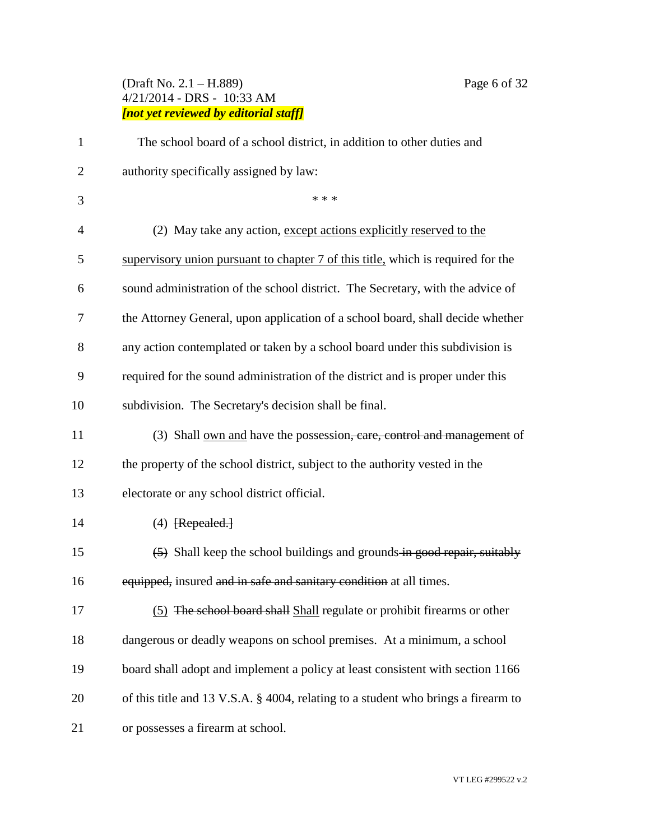# (Draft No. 2.1 – H.889) Page 6 of 32 4/21/2014 - DRS - 10:33 AM *[not yet reviewed by editorial staff]*

| $\mathbf{1}$   | The school board of a school district, in addition to other duties and                            |
|----------------|---------------------------------------------------------------------------------------------------|
| $\overline{2}$ | authority specifically assigned by law:                                                           |
| 3              | * * *                                                                                             |
| $\overline{4}$ | (2) May take any action, except actions explicitly reserved to the                                |
| 5              | supervisory union pursuant to chapter 7 of this title, which is required for the                  |
| 6              | sound administration of the school district. The Secretary, with the advice of                    |
| 7              | the Attorney General, upon application of a school board, shall decide whether                    |
| 8              | any action contemplated or taken by a school board under this subdivision is                      |
| 9              | required for the sound administration of the district and is proper under this                    |
| 10             | subdivision. The Secretary's decision shall be final.                                             |
| 11             | (3) Shall <u>own and</u> have the possession <del>, care, control and management</del> of         |
| 12             | the property of the school district, subject to the authority vested in the                       |
| 13             | electorate or any school district official.                                                       |
| 14             | $(4)$ [Repealed.]                                                                                 |
| 15             | $\left( \frac{5}{2} \right)$ Shall keep the school buildings and grounds-in-good repair, suitably |
| 16             | equipped, insured and in safe and sanitary condition at all times.                                |
| 17             | (5) The school board shall Shall regulate or prohibit firearms or other                           |
| 18             | dangerous or deadly weapons on school premises. At a minimum, a school                            |
| 19             | board shall adopt and implement a policy at least consistent with section 1166                    |
| 20             | of this title and 13 V.S.A. § 4004, relating to a student who brings a firearm to                 |
| 21             | or possesses a firearm at school.                                                                 |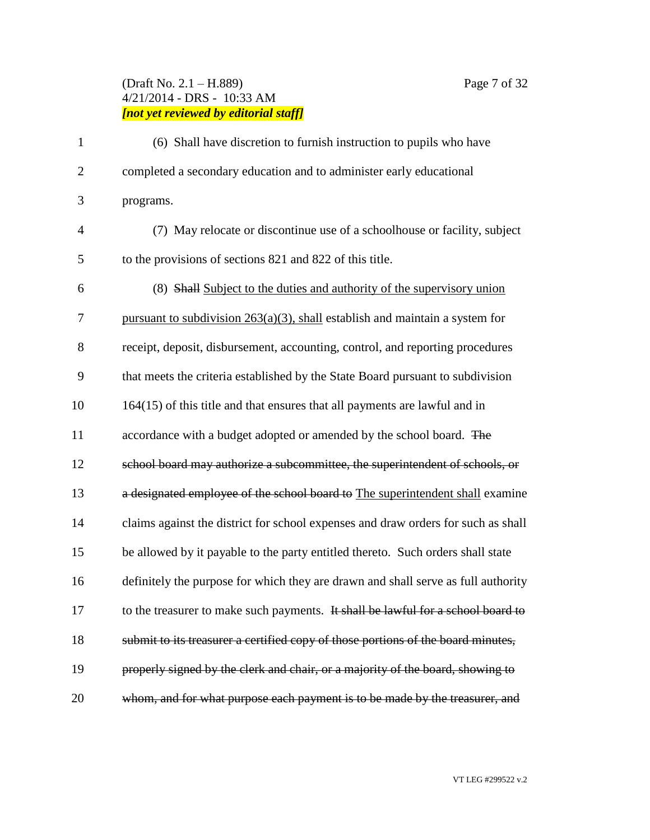# (Draft No. 2.1 – H.889) Page 7 of 32 4/21/2014 - DRS - 10:33 AM *[not yet reviewed by editorial staff]*

| $\mathbf{1}$   | (6) Shall have discretion to furnish instruction to pupils who have               |
|----------------|-----------------------------------------------------------------------------------|
| $\overline{2}$ | completed a secondary education and to administer early educational               |
| 3              | programs.                                                                         |
| $\overline{4}$ | (7) May relocate or discontinue use of a schoolhouse or facility, subject         |
| 5              | to the provisions of sections 821 and 822 of this title.                          |
| 6              | (8) Shall Subject to the duties and authority of the supervisory union            |
| 7              | pursuant to subdivision $263(a)(3)$ , shall establish and maintain a system for   |
| 8              | receipt, deposit, disbursement, accounting, control, and reporting procedures     |
| 9              | that meets the criteria established by the State Board pursuant to subdivision    |
| 10             | $164(15)$ of this title and that ensures that all payments are lawful and in      |
| 11             | accordance with a budget adopted or amended by the school board. The              |
| 12             | school board may authorize a subcommittee, the superintendent of schools, or      |
| 13             | a designated employee of the school board to The superintendent shall examine     |
| 14             | claims against the district for school expenses and draw orders for such as shall |
| 15             | be allowed by it payable to the party entitled thereto. Such orders shall state   |
| 16             | definitely the purpose for which they are drawn and shall serve as full authority |
| 17             | to the treasurer to make such payments. It shall be lawful for a school board to  |
| 18             | submit to its treasurer a certified copy of those portions of the board minutes,  |
| 19             | properly signed by the clerk and chair, or a majority of the board, showing to    |
| 20             | whom, and for what purpose each payment is to be made by the treasurer, and       |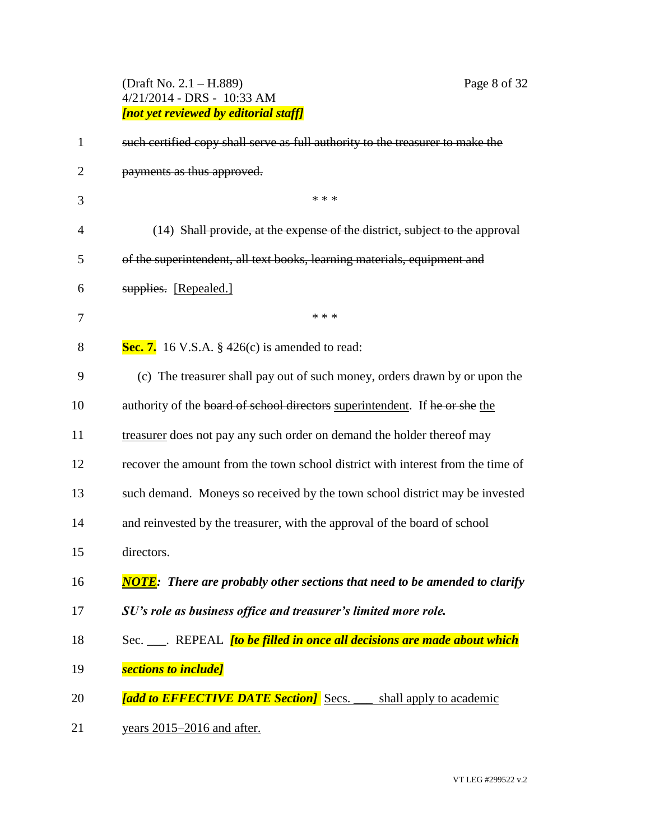# (Draft No. 2.1 – H.889) Page 8 of 32 4/21/2014 - DRS - 10:33 AM *[not yet reviewed by editorial staff]*

| $\mathbf{1}$   | such certified copy shall serve as full authority to the treasurer to make the    |
|----------------|-----------------------------------------------------------------------------------|
| $\overline{2}$ | payments as thus approved.                                                        |
| 3              | * * *                                                                             |
| $\overline{4}$ | (14) Shall provide, at the expense of the district, subject to the approval       |
| 5              | of the superintendent, all text books, learning materials, equipment and          |
| 6              | supplies. [Repealed.]                                                             |
| 7              | * * *                                                                             |
| 8              | Sec. 7. 16 V.S.A. $\S$ 426(c) is amended to read:                                 |
| 9              | (c) The treasurer shall pay out of such money, orders drawn by or upon the        |
| 10             | authority of the board of school directors superintendent. If he or she the       |
| 11             | treasurer does not pay any such order on demand the holder thereof may            |
| 12             | recover the amount from the town school district with interest from the time of   |
| 13             | such demand. Moneys so received by the town school district may be invested       |
| 14             | and reinvested by the treasurer, with the approval of the board of school         |
| 15             | directors.                                                                        |
| 16             | <b>NOTE:</b> There are probably other sections that need to be amended to clarify |
| 17             | SU's role as business office and treasurer's limited more role.                   |
| 18             | Sec. ____. REPEAL <i>[to be filled in once all decisions are made about which</i> |
| 19             | sections to include]                                                              |
| 20             | [add to EFFECTIVE DATE Section] Secs.<br>shall apply to academic                  |
| 21             | years 2015–2016 and after.                                                        |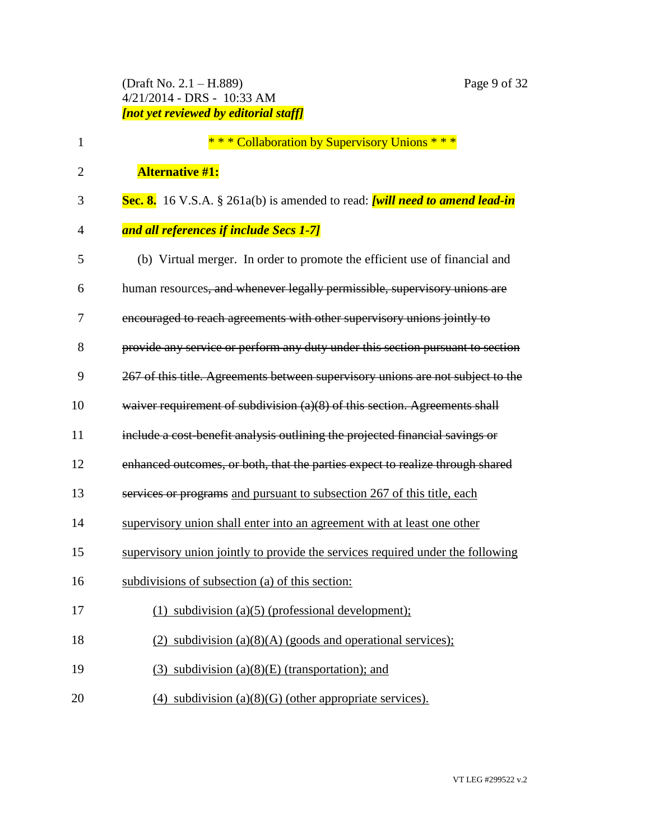(Draft No. 2.1 – H.889) Page 9 of 32 4/21/2014 - DRS - 10:33 AM *[not yet reviewed by editorial staff]*

| 1              | *** Collaboration by Supervisory Unions ***                                     |
|----------------|---------------------------------------------------------------------------------|
| $\overline{2}$ | <b>Alternative #1:</b>                                                          |
| 3              | Sec. 8. 16 V.S.A. § 261a(b) is amended to read: [will need to amend lead-in     |
| 4              | and all references if include Secs 1-7]                                         |
| 5              | (b) Virtual merger. In order to promote the efficient use of financial and      |
| 6              | human resources, and whenever legally permissible, supervisory unions are       |
| 7              | encouraged to reach agreements with other supervisory unions jointly to         |
| 8              | provide any service or perform any duty under this section pursuant to section  |
| 9              | 267 of this title. Agreements between supervisory unions are not subject to the |
| 10             | waiver requirement of subdivision (a)(8) of this section. Agreements shall      |
| 11             | include a cost-benefit analysis outlining the projected financial savings or    |
| 12             | enhanced outcomes, or both, that the parties expect to realize through shared   |
| 13             | services or programs and pursuant to subsection 267 of this title, each         |
| 14             | supervisory union shall enter into an agreement with at least one other         |
| 15             | supervisory union jointly to provide the services required under the following  |
| 16             | subdivisions of subsection (a) of this section:                                 |
| 17             | (1) subdivision (a)(5) (professional development);                              |
| 18             | (2) subdivision $(a)(8)(A)$ (goods and operational services);                   |
| 19             | (3) subdivision $(a)(8)(E)$ (transportation); and                               |
| 20             | $(4)$ subdivision $(a)(8)(G)$ (other appropriate services).                     |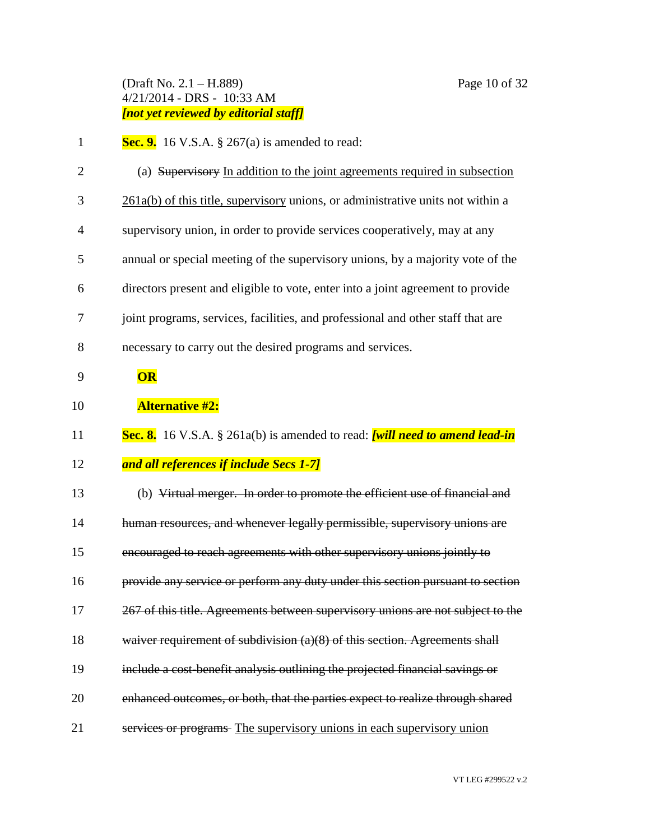# (Draft No. 2.1 – H.889) Page 10 of 32 4/21/2014 - DRS - 10:33 AM *[not yet reviewed by editorial staff]*

| Sec. 9. 16 V.S.A. $\S$ 267(a) is amended to read: |
|---------------------------------------------------|
|---------------------------------------------------|

| $\overline{2}$ | (a) Supervisory In addition to the joint agreements required in subsection           |
|----------------|--------------------------------------------------------------------------------------|
| 3              | 261a(b) of this title, supervisory unions, or administrative units not within a      |
| 4              | supervisory union, in order to provide services cooperatively, may at any            |
| 5              | annual or special meeting of the supervisory unions, by a majority vote of the       |
| 6              | directors present and eligible to vote, enter into a joint agreement to provide      |
| 7              | joint programs, services, facilities, and professional and other staff that are      |
| 8              | necessary to carry out the desired programs and services.                            |
| 9              | OR                                                                                   |
| 10             | <b>Alternative #2:</b>                                                               |
| 11             | Sec. 8. 16 V.S.A. § 261a(b) is amended to read: <i>[will need to amend lead-in</i> ] |
| 12             | and all references if include Secs 1-7]                                              |
| 13             | (b) Virtual merger. In order to promote the efficient use of financial and           |
| 14             | human resources, and whenever legally permissible, supervisory unions are            |
| 15             | encouraged to reach agreements with other supervisory unions jointly to              |
| 16             | provide any service or perform any duty under this section pursuant to section       |
| 17             | 267 of this title. Agreements between supervisory unions are not subject to the      |
| 18             | waiver requirement of subdivision (a)(8) of this section. Agreements shall           |
| 19             | include a cost-benefit analysis outlining the projected financial savings or         |
| 20             | enhanced outcomes, or both, that the parties expect to realize through shared        |
| 21             | services or programs- The supervisory unions in each supervisory union               |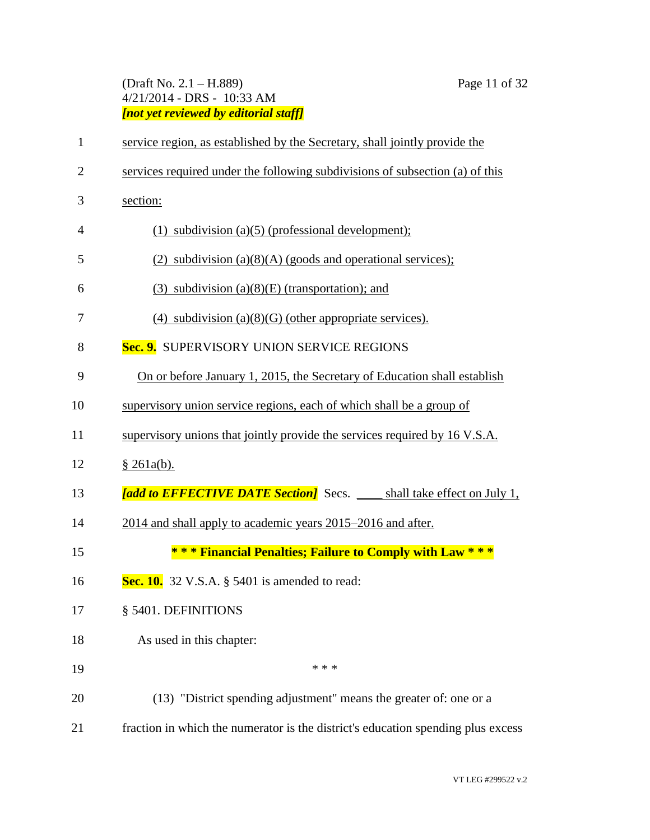# (Draft No. 2.1 – H.889) Page 11 of 32 4/21/2014 - DRS - 10:33 AM *[not yet reviewed by editorial staff]*

| $\mathbf{1}$   | service region, as established by the Secretary, shall jointly provide the       |
|----------------|----------------------------------------------------------------------------------|
| $\overline{2}$ | services required under the following subdivisions of subsection (a) of this     |
| 3              | section:                                                                         |
| 4              | $(1)$ subdivision (a)(5) (professional development);                             |
| 5              | (2) subdivision $(a)(8)(A)$ (goods and operational services);                    |
| 6              | $(3)$ subdivision $(a)(8)(E)$ (transportation); and                              |
| 7              | $(4)$ subdivision $(a)(8)(G)$ (other appropriate services).                      |
| 8              | Sec. 9. SUPERVISORY UNION SERVICE REGIONS                                        |
| 9              | On or before January 1, 2015, the Secretary of Education shall establish         |
| 10             | supervisory union service regions, each of which shall be a group of             |
| 11             | supervisory unions that jointly provide the services required by 16 V.S.A.       |
| 12             | \$261a(b).                                                                       |
| 13             | [add to EFFECTIVE DATE Section] Secs. ____ shall take effect on July 1,          |
| 14             | 2014 and shall apply to academic years 2015–2016 and after.                      |
| 15             | *** Financial Penalties; Failure to Comply with Law ***                          |
| 16             | Sec. 10. 32 V.S.A. $\S$ 5401 is amended to read:                                 |
| 17             | § 5401. DEFINITIONS                                                              |
| 18             | As used in this chapter:                                                         |
| 19             | * * *                                                                            |
| 20             | (13) "District spending adjustment" means the greater of: one or a               |
| 21             | fraction in which the numerator is the district's education spending plus excess |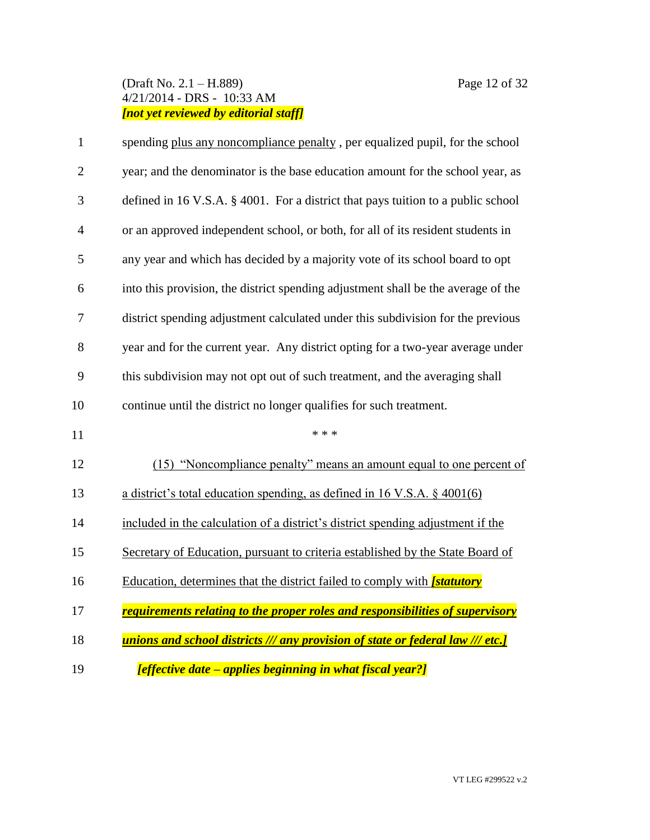# (Draft No. 2.1 – H.889) Page 12 of 32 4/21/2014 - DRS - 10:33 AM *[not yet reviewed by editorial staff]*

| $\mathbf{1}$   | spending plus any noncompliance penalty, per equalized pupil, for the school      |
|----------------|-----------------------------------------------------------------------------------|
| $\overline{2}$ | year; and the denominator is the base education amount for the school year, as    |
| 3              | defined in 16 V.S.A. § 4001. For a district that pays tuition to a public school  |
| $\overline{4}$ | or an approved independent school, or both, for all of its resident students in   |
| 5              | any year and which has decided by a majority vote of its school board to opt      |
| 6              | into this provision, the district spending adjustment shall be the average of the |
| 7              | district spending adjustment calculated under this subdivision for the previous   |
| 8              | year and for the current year. Any district opting for a two-year average under   |
| 9              | this subdivision may not opt out of such treatment, and the averaging shall       |
| 10             | continue until the district no longer qualifies for such treatment.               |
| 11             | * * *                                                                             |
| 12             | (15) "Noncompliance penalty" means an amount equal to one percent of              |
| 13             | a district's total education spending, as defined in 16 V.S.A. $\S$ 4001(6)       |
| 14             | included in the calculation of a district's district spending adjustment if the   |
| 15             | Secretary of Education, pursuant to criteria established by the State Board of    |
| 16             | Education, determines that the district failed to comply with <i>[statutory</i>   |
| 17             | requirements relating to the proper roles and responsibilities of supervisory     |
| 18             | unions and school districts /// any provision of state or federal law /// etc.]   |
| 19             | [effective date – applies beginning in what fiscal year?]                         |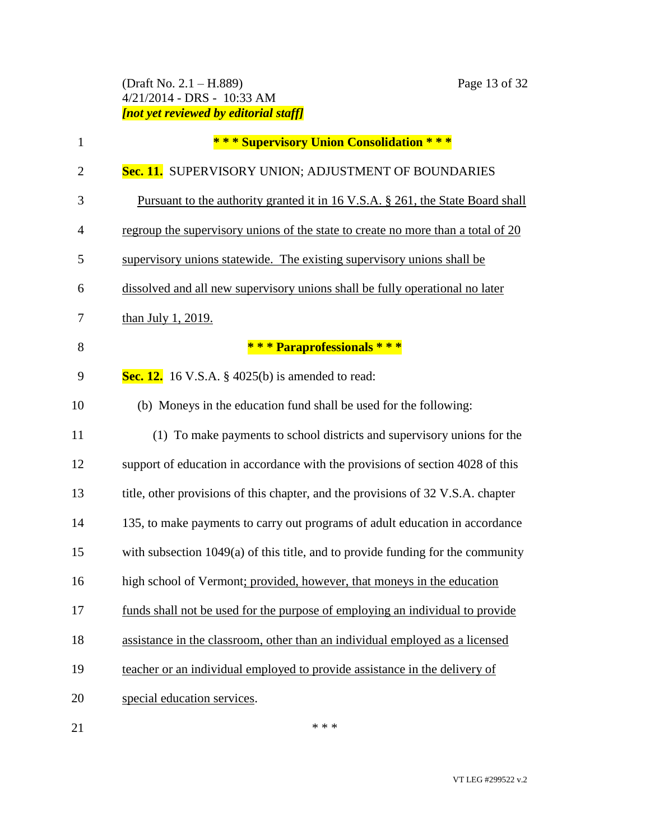# (Draft No. 2.1 – H.889) Page 13 of 32 4/21/2014 - DRS - 10:33 AM *[not yet reviewed by editorial staff]*

| $\mathbf{1}$   | *** Supervisory Union Consolidation ***                                          |
|----------------|----------------------------------------------------------------------------------|
| $\overline{2}$ | Sec. 11. SUPERVISORY UNION; ADJUSTMENT OF BOUNDARIES                             |
| 3              | Pursuant to the authority granted it in 16 V.S.A. § 261, the State Board shall   |
| $\overline{4}$ | regroup the supervisory unions of the state to create no more than a total of 20 |
| 5              | supervisory unions statewide. The existing supervisory unions shall be           |
| 6              | dissolved and all new supervisory unions shall be fully operational no later     |
| 7              | than July 1, 2019.                                                               |
| 8              | *** Paraprofessionals ***                                                        |
| 9              | <b>Sec. 12.</b> 16 V.S.A. $\S$ 4025(b) is amended to read:                       |
| 10             | (b) Moneys in the education fund shall be used for the following:                |
| 11             | (1) To make payments to school districts and supervisory unions for the          |
| 12             | support of education in accordance with the provisions of section 4028 of this   |
| 13             | title, other provisions of this chapter, and the provisions of 32 V.S.A. chapter |
| 14             | 135, to make payments to carry out programs of adult education in accordance     |
| 15             | with subsection 1049(a) of this title, and to provide funding for the community  |
| 16             | high school of Vermont; provided, however, that moneys in the education          |
| 17             | funds shall not be used for the purpose of employing an individual to provide    |
| 18             | assistance in the classroom, other than an individual employed as a licensed     |
| 19             | teacher or an individual employed to provide assistance in the delivery of       |
| 20             | special education services.                                                      |
| 21             | * * *                                                                            |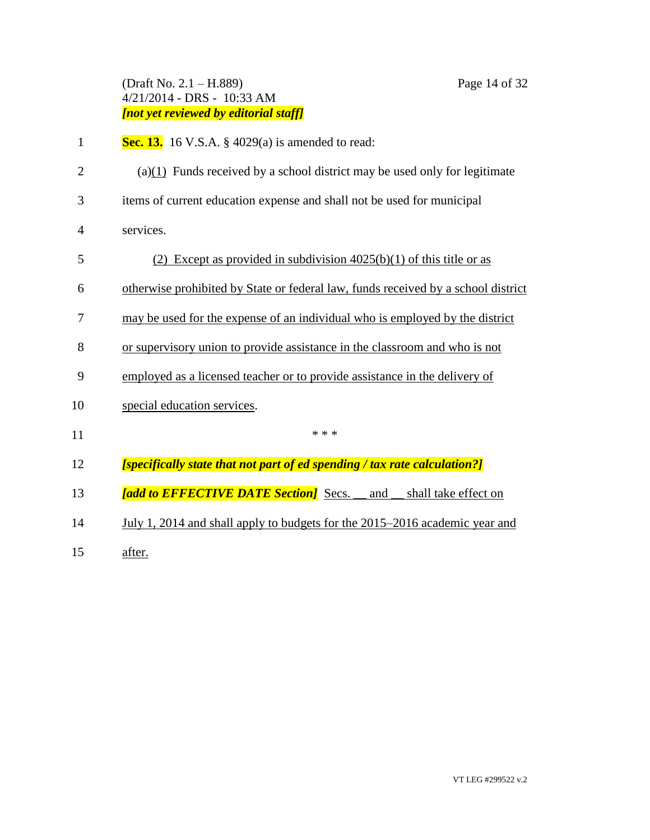#### (Draft No. 2.1 – H.889) Page 14 of 32 4/21/2014 - DRS - 10:33 AM *[not yet reviewed by editorial staff]*

- **Sec. 13.** 16 V.S.A. § 4029(a) is amended to read:
- 2 (a) $(1)$  Funds received by a school district may be used only for legitimate
- items of current education expense and shall not be used for municipal
- services.
- (2) Except as provided in subdivision 4025(b)(1) of this title or as
- otherwise prohibited by State or federal law, funds received by a school district
- may be used for the expense of an individual who is employed by the district
- or supervisory union to provide assistance in the classroom and who is not
- employed as a licensed teacher or to provide assistance in the delivery of
- special education services.
- $***$
- *[specifically state that not part of ed spending / tax rate calculation?]*
- *[add to EFFECTIVE DATE Section]* Secs. \_\_ and \_\_ shall take effect on
- July 1, 2014 and shall apply to budgets for the 2015–2016 academic year and
- after.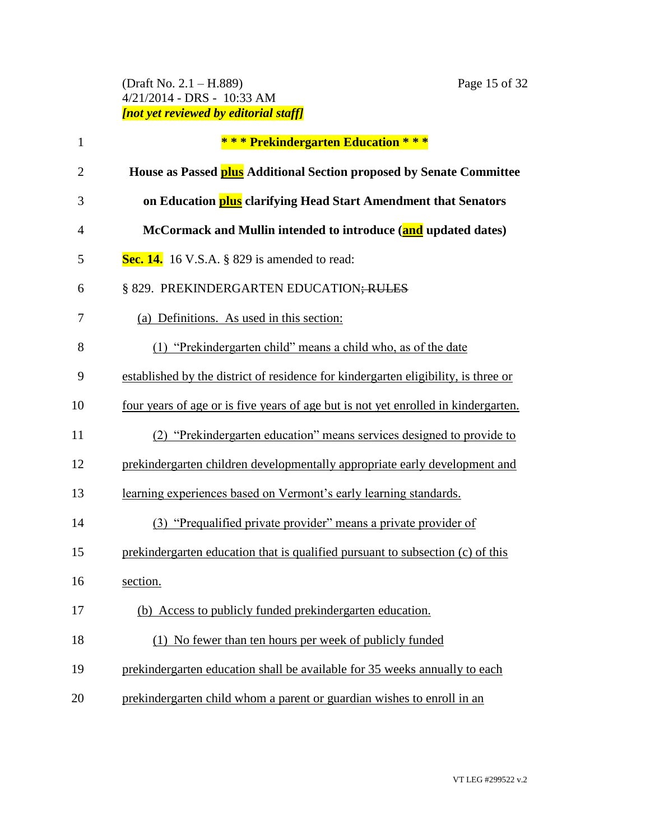# (Draft No. 2.1 – H.889) Page 15 of 32 4/21/2014 - DRS - 10:33 AM *[not yet reviewed by editorial staff]*

| $\mathbf{1}$   | *** Prekindergarten Education ***                                                  |
|----------------|------------------------------------------------------------------------------------|
| $\overline{2}$ | House as Passed plus Additional Section proposed by Senate Committee               |
| 3              | on Education <b>plus</b> clarifying Head Start Amendment that Senators             |
| 4              | McCormack and Mullin intended to introduce (and updated dates)                     |
| 5              | Sec. 14. 16 V.S.A. $\S$ 829 is amended to read:                                    |
| 6              | § 829. PREKINDERGARTEN EDUCATION; RULES                                            |
| 7              | (a) Definitions. As used in this section:                                          |
| 8              | (1) "Prekindergarten child" means a child who, as of the date                      |
| 9              | established by the district of residence for kindergarten eligibility, is three or |
| 10             | four years of age or is five years of age but is not yet enrolled in kindergarten. |
| 11             | (2) "Prekindergarten education" means services designed to provide to              |
| 12             | prekindergarten children developmentally appropriate early development and         |
| 13             | learning experiences based on Vermont's early learning standards.                  |
| 14             | (3) "Prequalified private provider" means a private provider of                    |
| 15             | prekindergarten education that is qualified pursuant to subsection (c) of this     |
| 16             | section.                                                                           |
| 17             | (b) Access to publicly funded prekindergarten education.                           |
| 18             | (1) No fewer than ten hours per week of publicly funded                            |
| 19             | prekindergarten education shall be available for 35 weeks annually to each         |
| 20             | prekindergarten child whom a parent or guardian wishes to enroll in an             |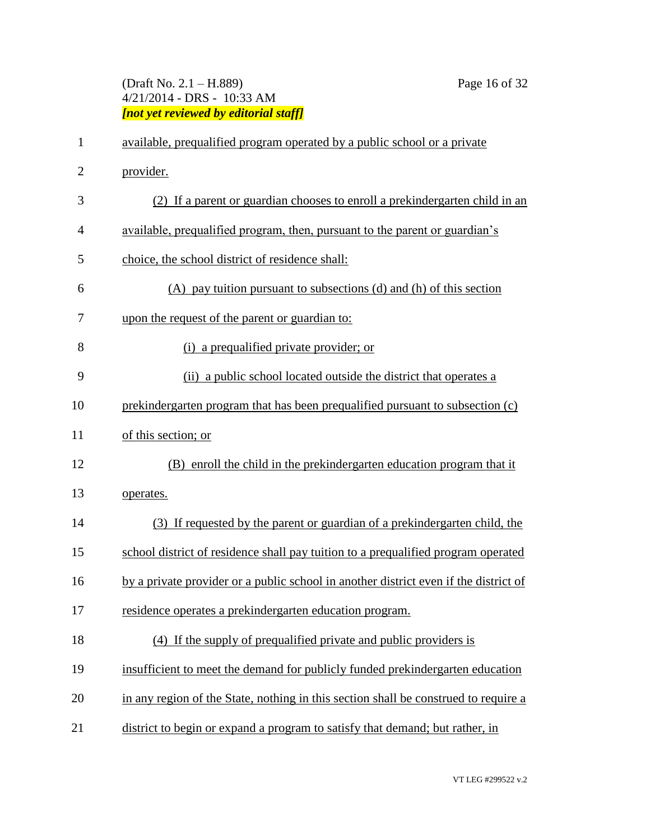# (Draft No. 2.1 – H.889) Page 16 of 32 4/21/2014 - DRS - 10:33 AM *[not yet reviewed by editorial staff]*

| $\mathbf{1}$   | available, prequalified program operated by a public school or a private             |
|----------------|--------------------------------------------------------------------------------------|
| $\overline{2}$ | provider.                                                                            |
| 3              | (2) If a parent or guardian chooses to enroll a prekindergarten child in an          |
| $\overline{4}$ | available, prequalified program, then, pursuant to the parent or guardian's          |
| 5              | choice, the school district of residence shall:                                      |
| 6              | $(A)$ pay tuition pursuant to subsections $(d)$ and $(h)$ of this section            |
| 7              | upon the request of the parent or guardian to:                                       |
| 8              | (i) a prequalified private provider; or                                              |
| 9              | (ii) a public school located outside the district that operates a                    |
| 10             | prekindergarten program that has been prequalified pursuant to subsection (c)        |
| 11             | of this section; or                                                                  |
| 12             | (B) enroll the child in the prekindergarten education program that it                |
| 13             | operates.                                                                            |
| 14             | (3) If requested by the parent or guardian of a prekinder garten child, the          |
| 15             | school district of residence shall pay tuition to a prequalified program operated    |
| 16             | by a private provider or a public school in another district even if the district of |
| 17             | residence operates a prekindergarten education program.                              |
| 18             | (4) If the supply of prequalified private and public providers is                    |
| 19             | insufficient to meet the demand for publicly funded prekindergarten education        |
| 20             | in any region of the State, nothing in this section shall be construed to require a  |
| 21             | district to begin or expand a program to satisfy that demand; but rather, in         |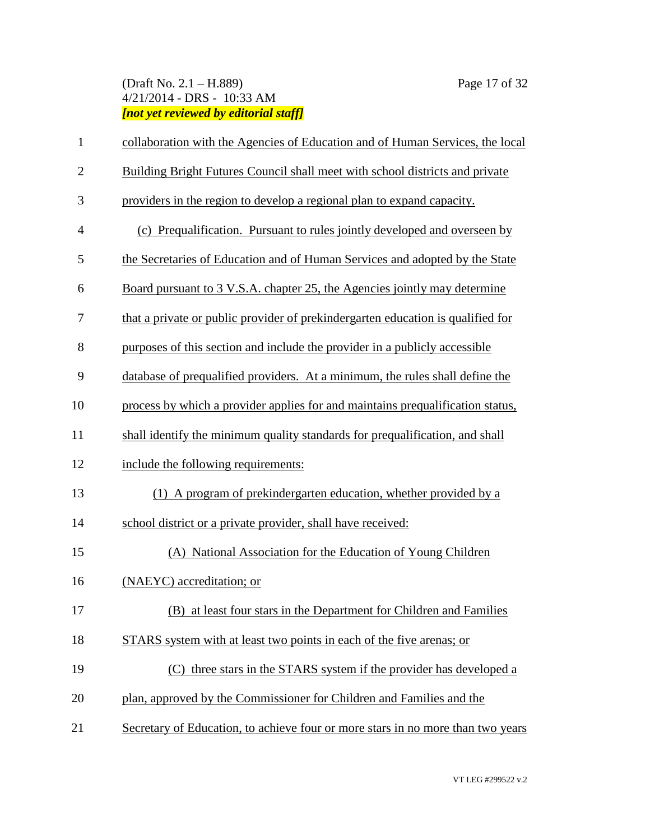# (Draft No. 2.1 – H.889) Page 17 of 32 4/21/2014 - DRS - 10:33 AM *[not yet reviewed by editorial staff]*

| $\mathbf{1}$   | collaboration with the Agencies of Education and of Human Services, the local    |
|----------------|----------------------------------------------------------------------------------|
| $\mathbf{2}$   | Building Bright Futures Council shall meet with school districts and private     |
| 3              | providers in the region to develop a regional plan to expand capacity.           |
| $\overline{4}$ | (c) Prequalification. Pursuant to rules jointly developed and overseen by        |
| 5              | the Secretaries of Education and of Human Services and adopted by the State      |
| 6              | <u>Board pursuant to 3 V.S.A. chapter 25, the Agencies jointly may determine</u> |
| 7              | that a private or public provider of prekindergarten education is qualified for  |
| 8              | purposes of this section and include the provider in a publicly accessible       |
| 9              | database of prequalified providers. At a minimum, the rules shall define the     |
| 10             | process by which a provider applies for and maintains prequalification status,   |
| 11             | shall identify the minimum quality standards for prequalification, and shall     |
| 12             | include the following requirements:                                              |
| 13             | (1) A program of prekindergarten education, whether provided by a                |
| 14             | school district or a private provider, shall have received:                      |
| 15             | (A) National Association for the Education of Young Children                     |
| 16             | (NAEYC) accreditation; or                                                        |
| 17             | (B) at least four stars in the Department for Children and Families              |
| 18             | STARS system with at least two points in each of the five arenas; or             |
| 19             | (C) three stars in the STARS system if the provider has developed a              |
| 20             | plan, approved by the Commissioner for Children and Families and the             |
| 21             | Secretary of Education, to achieve four or more stars in no more than two years  |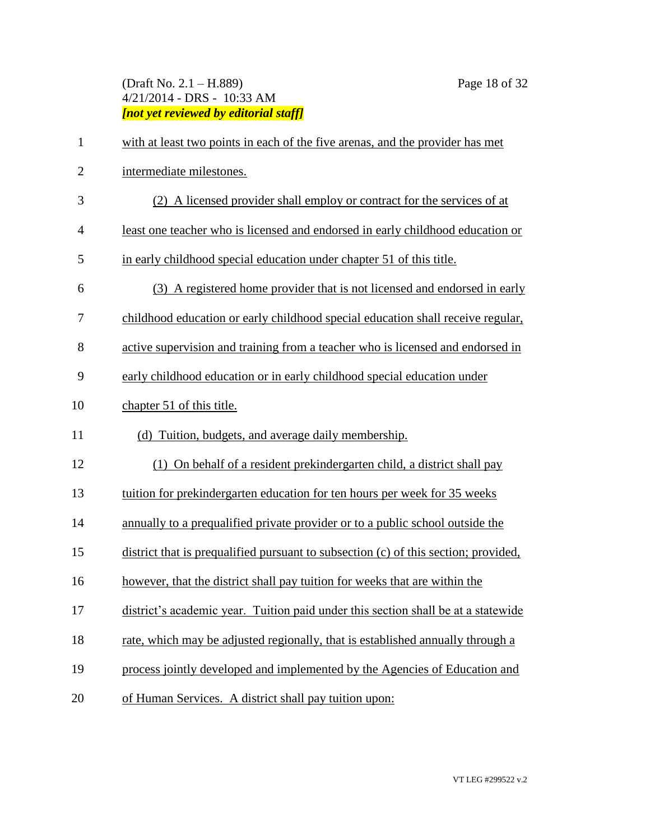# (Draft No. 2.1 – H.889) Page 18 of 32 4/21/2014 - DRS - 10:33 AM *[not yet reviewed by editorial staff]*

| $\mathbf{1}$   | with at least two points in each of the five arenas, and the provider has met       |
|----------------|-------------------------------------------------------------------------------------|
| $\overline{2}$ | intermediate milestones.                                                            |
| 3              | (2) A licensed provider shall employ or contract for the services of at             |
| $\overline{4}$ | least one teacher who is licensed and endorsed in early childhood education or      |
| 5              | in early childhood special education under chapter 51 of this title.                |
| 6              | (3) A registered home provider that is not licensed and endorsed in early           |
| 7              | childhood education or early childhood special education shall receive regular,     |
| 8              | active supervision and training from a teacher who is licensed and endorsed in      |
| 9              | early childhood education or in early childhood special education under             |
| 10             | chapter 51 of this title.                                                           |
| 11             | (d) Tuition, budgets, and average daily membership.                                 |
| 12             | (1) On behalf of a resident prekindergarten child, a district shall pay             |
| 13             | tuition for prekindergarten education for ten hours per week for 35 weeks           |
| 14             | annually to a prequalified private provider or to a public school outside the       |
| 15             | district that is prequalified pursuant to subsection (c) of this section; provided, |
| 16             | however, that the district shall pay tuition for weeks that are within the          |
| 17             | district's academic year. Tuition paid under this section shall be at a statewide   |
| 18             | rate, which may be adjusted regionally, that is established annually through a      |
| 19             | process jointly developed and implemented by the Agencies of Education and          |
| 20             | of Human Services. A district shall pay tuition upon:                               |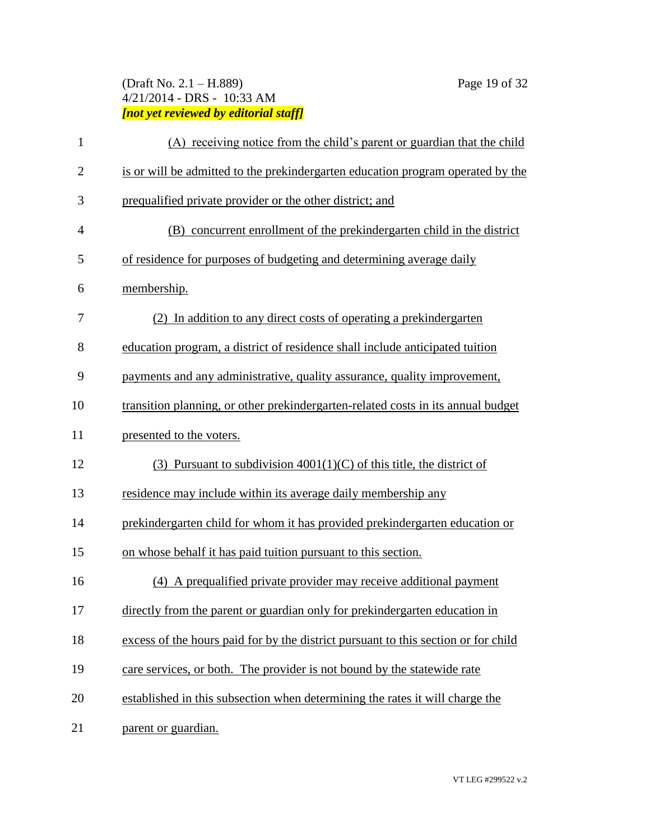# (Draft No. 2.1 – H.889) Page 19 of 32 4/21/2014 - DRS - 10:33 AM *[not yet reviewed by editorial staff]*

| $\mathbf{1}$   | (A) receiving notice from the child's parent or guardian that the child            |
|----------------|------------------------------------------------------------------------------------|
| $\overline{2}$ | is or will be admitted to the prekindergarten education program operated by the    |
| 3              | prequalified private provider or the other district; and                           |
| $\overline{4}$ | (B) concurrent enrollment of the prekindergarten child in the district             |
| 5              | of residence for purposes of budgeting and determining average daily               |
| 6              | membership.                                                                        |
| 7              | (2) In addition to any direct costs of operating a prekindergarten                 |
| 8              | education program, a district of residence shall include anticipated tuition       |
| 9              | payments and any administrative, quality assurance, quality improvement,           |
| 10             | transition planning, or other prekindergarten-related costs in its annual budget   |
| 11             | presented to the voters.                                                           |
| 12             | (3) Pursuant to subdivision $4001(1)(C)$ of this title, the district of            |
| 13             | residence may include within its average daily membership any                      |
| 14             | prekindergarten child for whom it has provided prekindergarten education or        |
| 15             | on whose behalf it has paid tuition pursuant to this section.                      |
| 16             | (4) A prequalified private provider may receive additional payment                 |
| 17             | directly from the parent or guardian only for prekindergarten education in         |
| 18             | excess of the hours paid for by the district pursuant to this section or for child |
| 19             | care services, or both. The provider is not bound by the statewide rate            |
| 20             | established in this subsection when determining the rates it will charge the       |
| 21             | parent or guardian.                                                                |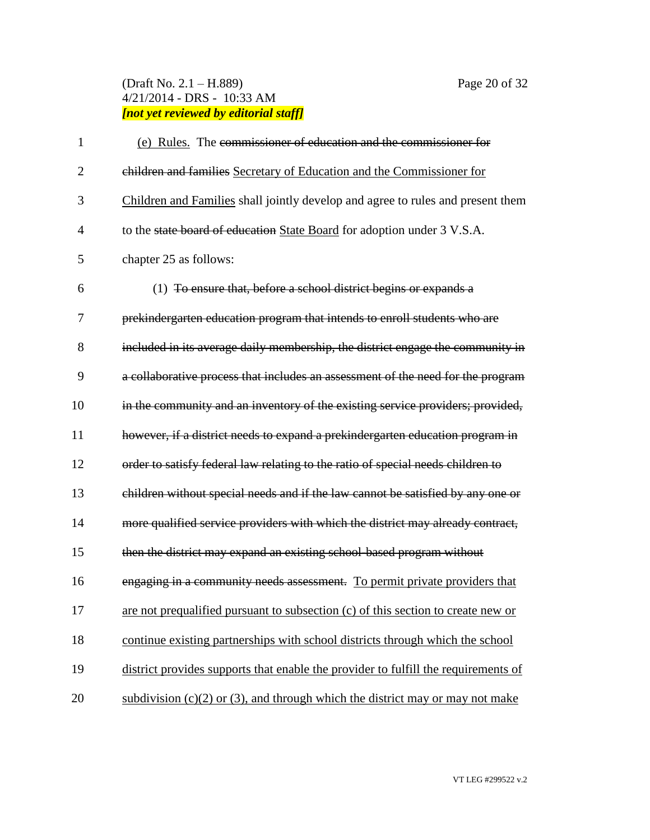# (Draft No. 2.1 – H.889) Page 20 of 32 4/21/2014 - DRS - 10:33 AM *[not yet reviewed by editorial staff]*

| 1              | (e) Rules. The commissioner of education and the commissioner for                  |
|----------------|------------------------------------------------------------------------------------|
| $\overline{2}$ | children and families Secretary of Education and the Commissioner for              |
| 3              | Children and Families shall jointly develop and agree to rules and present them    |
| $\overline{4}$ | to the state board of education State Board for adoption under 3 V.S.A.            |
| 5              | chapter 25 as follows:                                                             |
| 6              | (1) To ensure that, before a school district begins or expands a                   |
| 7              | prekindergarten education program that intends to enroll students who are          |
| 8              | included in its average daily membership, the district engage the community in     |
| 9              | a collaborative process that includes an assessment of the need for the program    |
| 10             | in the community and an inventory of the existing service providers; provided,     |
| 11             | however, if a district needs to expand a prekindergarten education program in      |
| 12             | order to satisfy federal law relating to the ratio of special needs children to    |
| 13             | children without special needs and if the law cannot be satisfied by any one or    |
| 14             | more qualified service providers with which the district may already contract,     |
| 15             | then the district may expand an existing school-based program without              |
| 16             | engaging in a community needs assessment. To permit private providers that         |
| 17             | are not prequalified pursuant to subsection (c) of this section to create new or   |
| 18             | continue existing partnerships with school districts through which the school      |
| 19             | district provides supports that enable the provider to fulfill the requirements of |
| 20             | subdivision $(c)(2)$ or (3), and through which the district may or may not make    |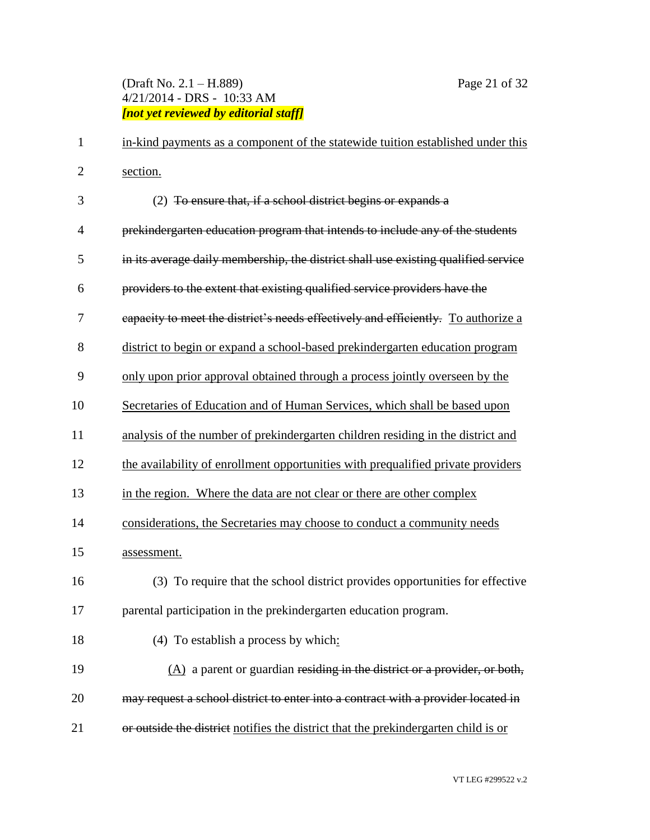# (Draft No. 2.1 – H.889) Page 21 of 32 4/21/2014 - DRS - 10:33 AM *[not yet reviewed by editorial staff]*

| 1              | in-kind payments as a component of the statewide tuition established under this    |
|----------------|------------------------------------------------------------------------------------|
| $\mathbf{2}$   | section.                                                                           |
| 3              | (2) To ensure that, if a school district begins or expands a                       |
| $\overline{4}$ | prekindergarten education program that intends to include any of the students      |
| 5              | in its average daily membership, the district shall use existing qualified service |
| 6              | providers to the extent that existing qualified service providers have the         |
| 7              | eapacity to meet the district's needs effectively and efficiently. To authorize a  |
| 8              | district to begin or expand a school-based prekindergarten education program       |
| 9              | only upon prior approval obtained through a process jointly overseen by the        |
| 10             | Secretaries of Education and of Human Services, which shall be based upon          |
| 11             | analysis of the number of prekindergarten children residing in the district and    |
| 12             | the availability of enrollment opportunities with prequalified private providers   |
| 13             | in the region. Where the data are not clear or there are other complex             |
| 14             | considerations, the Secretaries may choose to conduct a community needs            |
| 15             | assessment.                                                                        |
| 16             | (3) To require that the school district provides opportunities for effective       |
| 17             | parental participation in the prekindergarten education program.                   |
| 18             | $(4)$ To establish a process by which:                                             |
| 19             | $(A)$ a parent or guardian residing in the district or a provider, or both,        |
| 20             | may request a school district to enter into a contract with a provider located in  |
| 21             | or outside the district notifies the district that the prekindergarten child is or |
|                |                                                                                    |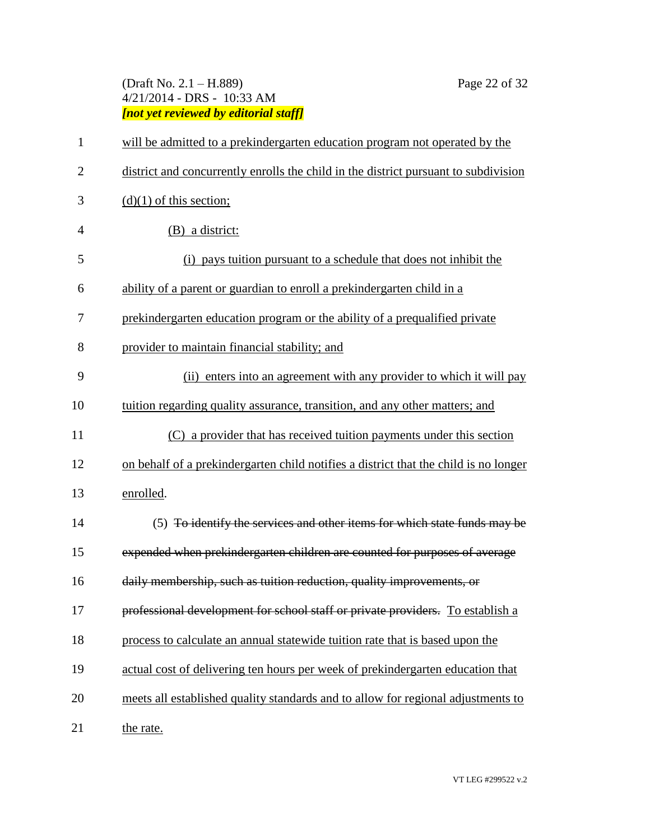# (Draft No. 2.1 – H.889) Page 22 of 32 4/21/2014 - DRS - 10:33 AM *[not yet reviewed by editorial staff]*

| $\mathbf{1}$   | will be admitted to a prekindergarten education program not operated by the          |
|----------------|--------------------------------------------------------------------------------------|
| $\overline{2}$ | district and concurrently enrolls the child in the district pursuant to subdivision  |
| 3              | $(d)(1)$ of this section;                                                            |
| $\overline{4}$ | (B) a district:                                                                      |
| 5              | (i) pays tuition pursuant to a schedule that does not inhibit the                    |
| 6              | ability of a parent or guardian to enroll a prekindergarten child in a               |
| 7              | prekindergarten education program or the ability of a prequalified private           |
| 8              | provider to maintain financial stability; and                                        |
| 9              | (ii) enters into an agreement with any provider to which it will pay                 |
| 10             | tuition regarding quality assurance, transition, and any other matters; and          |
| 11             | (C) a provider that has received tuition payments under this section                 |
| 12             | on behalf of a prekindergarten child notifies a district that the child is no longer |
| 13             | enrolled.                                                                            |
| 14             | (5) To identify the services and other items for which state funds may be            |
| 15             | expended when prekindergarten children are counted for purposes of average           |
| 16             | daily membership, such as tuition reduction, quality improvements, or                |
| 17             | professional development for school staff or private providers. To establish a       |
| 18             | process to calculate an annual statewide tuition rate that is based upon the         |
| 19             | actual cost of delivering ten hours per week of prekindergarten education that       |
| 20             | meets all established quality standards and to allow for regional adjustments to     |
| 21             | the rate.                                                                            |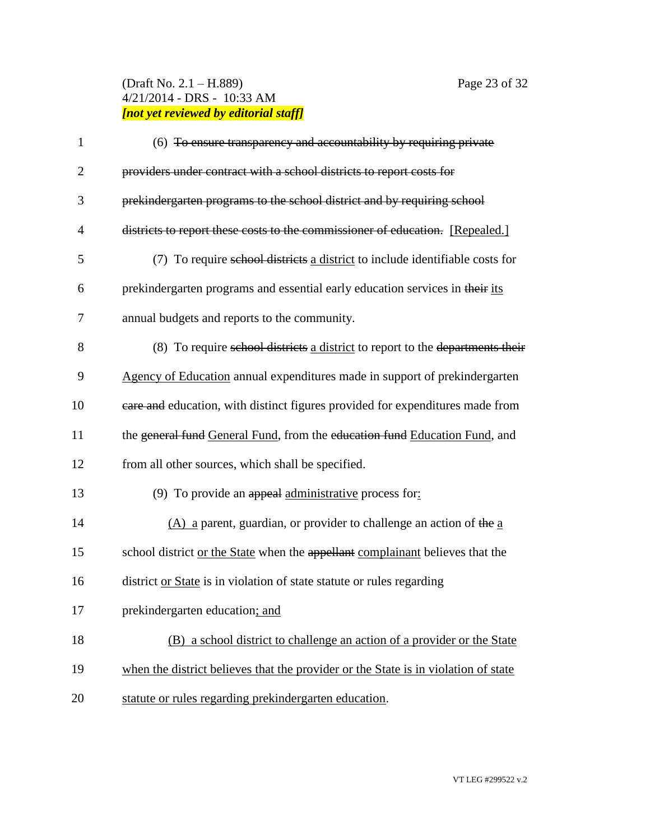# (Draft No. 2.1 – H.889) Page 23 of 32 4/21/2014 - DRS - 10:33 AM *[not yet reviewed by editorial staff]*

| $\mathbf{1}$   | (6) To ensure transparency and accountability by requiring private                 |
|----------------|------------------------------------------------------------------------------------|
| $\overline{2}$ | providers under contract with a school districts to report costs for               |
| 3              | prekindergarten programs to the school district and by requiring school            |
| 4              | districts to report these costs to the commissioner of education. [Repealed.]      |
| 5              | (7) To require school districts a district to include identifiable costs for       |
| 6              | prekindergarten programs and essential early education services in their its       |
| 7              | annual budgets and reports to the community.                                       |
| 8              | (8) To require school districts a district to report to the departments their      |
| 9              | Agency of Education annual expenditures made in support of prekindergarten         |
| 10             | eare and education, with distinct figures provided for expenditures made from      |
| 11             | the general fund General Fund, from the education fund Education Fund, and         |
| 12             | from all other sources, which shall be specified.                                  |
| 13             | (9) To provide an appeal administrative process for:                               |
| 14             | $(A)$ a parent, guardian, or provider to challenge an action of the a              |
| 15             | school district or the State when the appellant complainant believes that the      |
| 16             | district or State is in violation of state statute or rules regarding              |
| 17             | prekindergarten education; and                                                     |
| 18             | (B) a school district to challenge an action of a provider or the State            |
| 19             | when the district believes that the provider or the State is in violation of state |
| 20             | statute or rules regarding prekindergarten education.                              |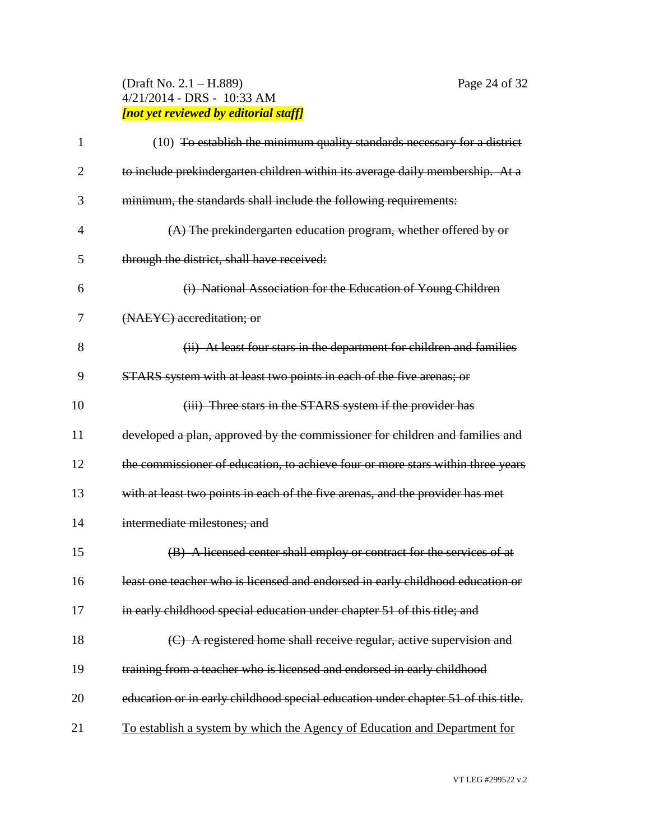# (Draft No. 2.1 – H.889) Page 24 of 32 4/21/2014 - DRS - 10:33 AM *[not yet reviewed by editorial staff]*

| 1              | (10) To establish the minimum quality standards necessary for a district          |
|----------------|-----------------------------------------------------------------------------------|
| $\overline{2}$ | to include prekindergarten children within its average daily membership. At a     |
| 3              | minimum, the standards shall include the following requirements:                  |
| $\overline{4}$ | $(A)$ The prekindergarten education program, whether offered by or                |
| 5              | through the district, shall have received:                                        |
| 6              | (i) National Association for the Education of Young Children                      |
| 7              | (NAEYC) accreditation; or                                                         |
| 8              | (ii) At least four stars in the department for children and families              |
| 9              | STARS system with at least two points in each of the five arenas; or              |
| 10             | (iii) Three stars in the STARS system if the provider has                         |
| 11             | developed a plan, approved by the commissioner for children and families and      |
| 12             | the commissioner of education, to achieve four or more stars within three years   |
| 13             | with at least two points in each of the five arenas, and the provider has met     |
| 14             | intermediate milestones; and                                                      |
| 15             | (B) A licensed center shall employ or contract for the services of at             |
| 16             | least one teacher who is licensed and endorsed in early childhood education or    |
| 17             | in early childhood special education under chapter 51 of this title; and          |
| 18             | (C) A registered home shall receive regular, active supervision and               |
| 19             | training from a teacher who is licensed and endorsed in early childhood           |
| 20             | education or in early childhood special education under chapter 51 of this title. |
| 21             | To establish a system by which the Agency of Education and Department for         |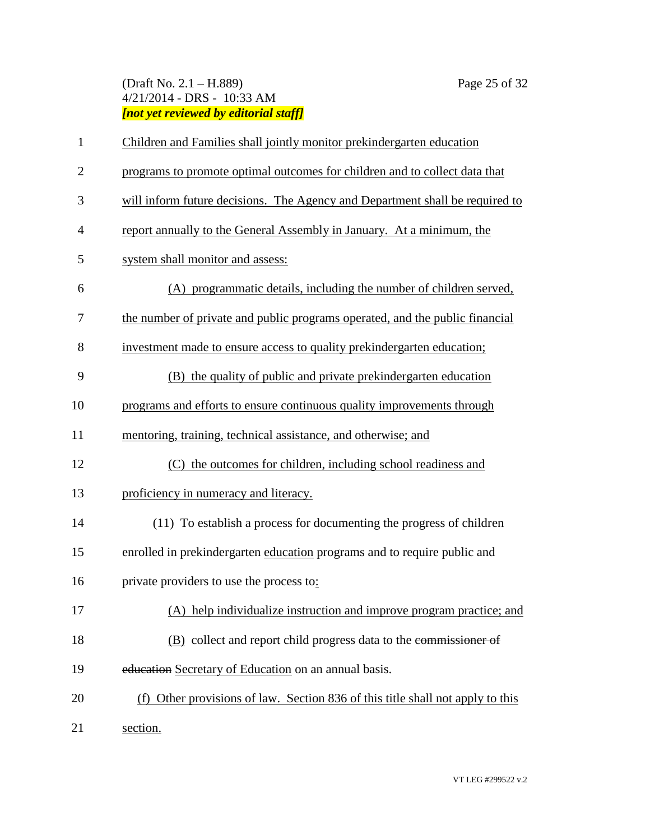# (Draft No. 2.1 – H.889) Page 25 of 32 4/21/2014 - DRS - 10:33 AM *[not yet reviewed by editorial staff]*

| $\mathbf{1}$   | Children and Families shall jointly monitor prekindergarten education          |  |  |
|----------------|--------------------------------------------------------------------------------|--|--|
| $\overline{2}$ | programs to promote optimal outcomes for children and to collect data that     |  |  |
| 3              | will inform future decisions. The Agency and Department shall be required to   |  |  |
| $\overline{4}$ | report annually to the General Assembly in January. At a minimum, the          |  |  |
| 5              | system shall monitor and assess:                                               |  |  |
| 6              | (A) programmatic details, including the number of children served,             |  |  |
| 7              | the number of private and public programs operated, and the public financial   |  |  |
| 8              | investment made to ensure access to quality prekindergarten education;         |  |  |
| 9              | (B) the quality of public and private prekindergarten education                |  |  |
| 10             | programs and efforts to ensure continuous quality improvements through         |  |  |
| 11             | mentoring, training, technical assistance, and otherwise; and                  |  |  |
| 12             | (C) the outcomes for children, including school readiness and                  |  |  |
| 13             | proficiency in numeracy and literacy.                                          |  |  |
| 14             | (11) To establish a process for documenting the progress of children           |  |  |
| 15             | enrolled in prekindergarten education programs and to require public and       |  |  |
| 16             | private providers to use the process to:                                       |  |  |
| 17             | (A) help individualize instruction and improve program practice; and           |  |  |
| 18             | (B) collect and report child progress data to the commissioner of              |  |  |
| 19             | education Secretary of Education on an annual basis.                           |  |  |
| 20             | (f) Other provisions of law. Section 836 of this title shall not apply to this |  |  |
| 21             | section.                                                                       |  |  |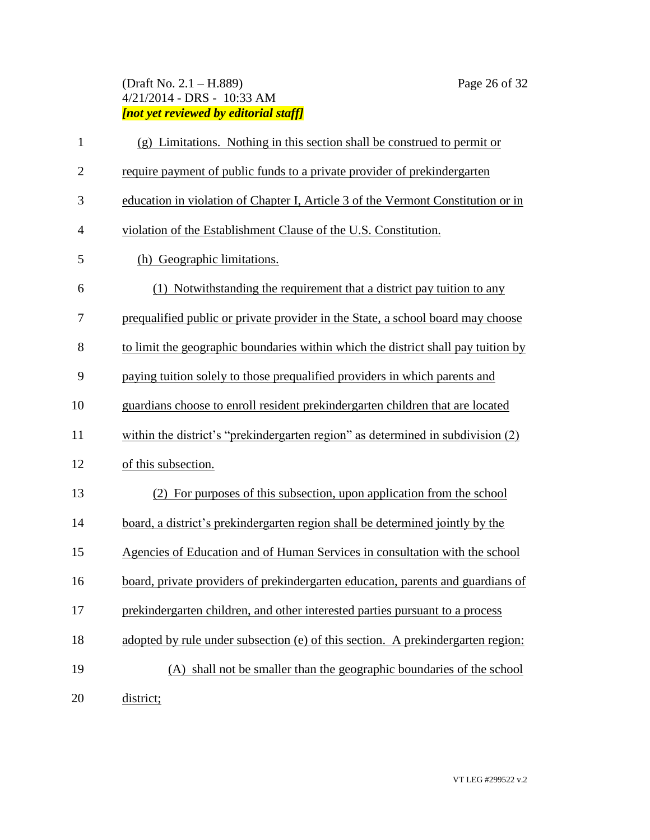# (Draft No. 2.1 – H.889) Page 26 of 32 4/21/2014 - DRS - 10:33 AM *[not yet reviewed by editorial staff]*

| $\mathbf{1}$   | (g) Limitations. Nothing in this section shall be construed to permit or          |  |  |
|----------------|-----------------------------------------------------------------------------------|--|--|
| $\overline{2}$ | require payment of public funds to a private provider of prekindergarten          |  |  |
| 3              | education in violation of Chapter I, Article 3 of the Vermont Constitution or in  |  |  |
| $\overline{4}$ | violation of the Establishment Clause of the U.S. Constitution.                   |  |  |
| 5              | (h) Geographic limitations.                                                       |  |  |
| 6              | (1) Notwithstanding the requirement that a district pay tuition to any            |  |  |
| 7              | prequalified public or private provider in the State, a school board may choose   |  |  |
| 8              | to limit the geographic boundaries within which the district shall pay tuition by |  |  |
| 9              | paying tuition solely to those prequalified providers in which parents and        |  |  |
| 10             | guardians choose to enroll resident prekindergarten children that are located     |  |  |
| 11             | within the district's "prekindergarten region" as determined in subdivision (2)   |  |  |
| 12             | of this subsection.                                                               |  |  |
| 13             | (2) For purposes of this subsection, upon application from the school             |  |  |
| 14             | board, a district's prekindergarten region shall be determined jointly by the     |  |  |
| 15             | Agencies of Education and of Human Services in consultation with the school       |  |  |
| 16             | board, private providers of prekindergarten education, parents and guardians of   |  |  |
| 17             | prekindergarten children, and other interested parties pursuant to a process      |  |  |
| 18             | adopted by rule under subsection (e) of this section. A prekindergarten region:   |  |  |
| 19             | (A) shall not be smaller than the geographic boundaries of the school             |  |  |
| 20             | district;                                                                         |  |  |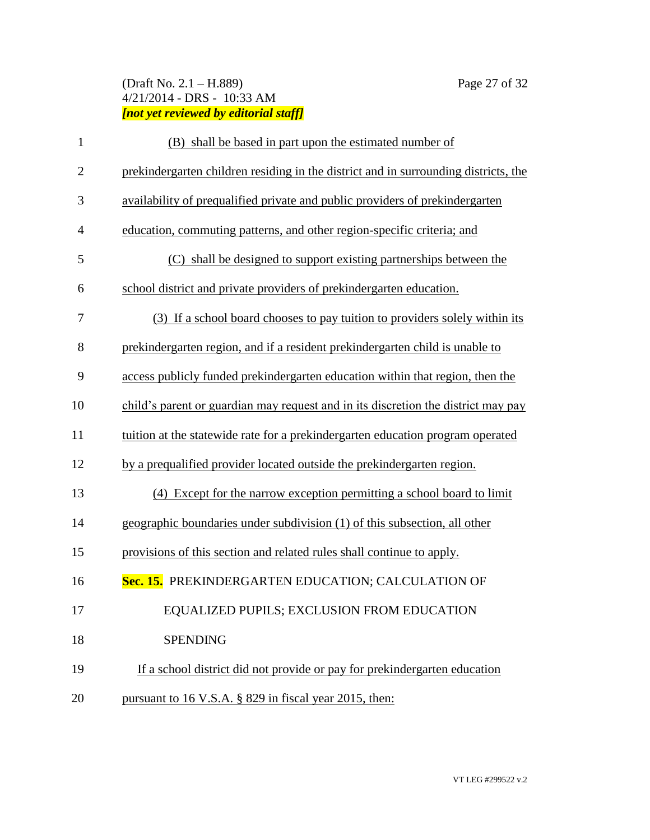# (Draft No. 2.1 – H.889) Page 27 of 32 4/21/2014 - DRS - 10:33 AM *[not yet reviewed by editorial staff]*

| $\mathbf{1}$   | (B) shall be based in part upon the estimated number of                             |  |  |
|----------------|-------------------------------------------------------------------------------------|--|--|
| $\overline{2}$ | prekindergarten children residing in the district and in surrounding districts, the |  |  |
| 3              | availability of prequalified private and public providers of prekindergarten        |  |  |
| $\overline{4}$ | education, commuting patterns, and other region-specific criteria; and              |  |  |
| 5              | (C) shall be designed to support existing partnerships between the                  |  |  |
| 6              | school district and private providers of prekindergarten education.                 |  |  |
| 7              | (3) If a school board chooses to pay tuition to providers solely within its         |  |  |
| 8              | prekindergarten region, and if a resident prekindergarten child is unable to        |  |  |
| 9              | access publicly funded prekindergarten education within that region, then the       |  |  |
| 10             | child's parent or guardian may request and in its discretion the district may pay   |  |  |
| 11             | tuition at the statewide rate for a prekindergarten education program operated      |  |  |
| 12             | by a prequalified provider located outside the prekindergarten region.              |  |  |
| 13             | (4) Except for the narrow exception permitting a school board to limit              |  |  |
| 14             | geographic boundaries under subdivision (1) of this subsection, all other           |  |  |
| 15             | provisions of this section and related rules shall continue to apply.               |  |  |
| 16             | Sec. 15. PREKINDERGARTEN EDUCATION; CALCULATION OF                                  |  |  |
| 17             | EQUALIZED PUPILS; EXCLUSION FROM EDUCATION                                          |  |  |
| 18             | <b>SPENDING</b>                                                                     |  |  |
| 19             | If a school district did not provide or pay for prekindergarten education           |  |  |
| 20             | pursuant to 16 V.S.A. § 829 in fiscal year 2015, then:                              |  |  |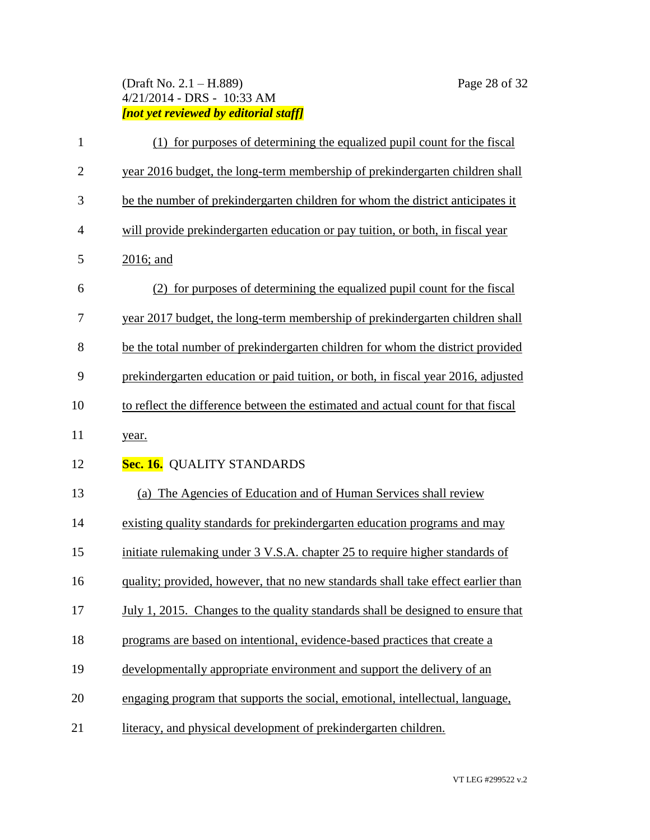# (Draft No. 2.1 – H.889) Page 28 of 32 4/21/2014 - DRS - 10:33 AM *[not yet reviewed by editorial staff]*

| $\mathbf{1}$   | (1) for purposes of determining the equalized pupil count for the fiscal          |  |  |  |
|----------------|-----------------------------------------------------------------------------------|--|--|--|
| $\mathbf{2}$   | year 2016 budget, the long-term membership of prekindergarten children shall      |  |  |  |
| 3              | be the number of prekindergarten children for whom the district anticipates it    |  |  |  |
| $\overline{4}$ | will provide prekindergarten education or pay tuition, or both, in fiscal year    |  |  |  |
| 5              | 2016; and                                                                         |  |  |  |
| 6              | (2) for purposes of determining the equalized pupil count for the fiscal          |  |  |  |
| 7              | year 2017 budget, the long-term membership of prekindergarten children shall      |  |  |  |
| 8              | be the total number of prekindergarten children for whom the district provided    |  |  |  |
| 9              | prekindergarten education or paid tuition, or both, in fiscal year 2016, adjusted |  |  |  |
| 10             | to reflect the difference between the estimated and actual count for that fiscal  |  |  |  |
| 11             | year.                                                                             |  |  |  |
| 12             | Sec. 16. QUALITY STANDARDS                                                        |  |  |  |
| 13             | (a) The Agencies of Education and of Human Services shall review                  |  |  |  |
| 14             | existing quality standards for prekindergarten education programs and may         |  |  |  |
| 15             | initiate rulemaking under 3 V.S.A. chapter 25 to require higher standards of      |  |  |  |
| 16             | quality; provided, however, that no new standards shall take effect earlier than  |  |  |  |
| 17             | July 1, 2015. Changes to the quality standards shall be designed to ensure that   |  |  |  |
| 18             | programs are based on intentional, evidence-based practices that create a         |  |  |  |
| 19             | developmentally appropriate environment and support the delivery of an            |  |  |  |
| 20             | engaging program that supports the social, emotional, intellectual, language,     |  |  |  |
| 21             | literacy, and physical development of prekindergarten children.                   |  |  |  |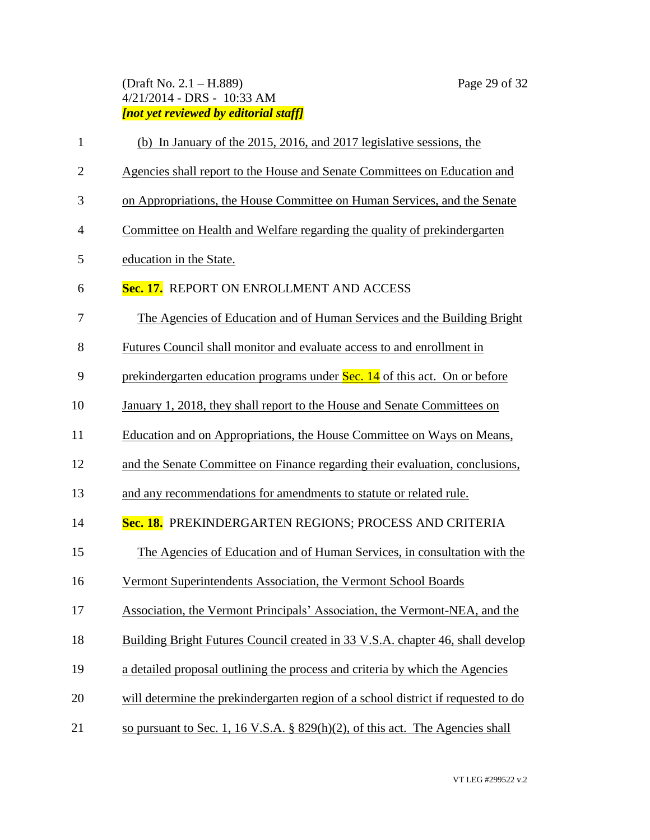# (Draft No. 2.1 – H.889) Page 29 of 32 4/21/2014 - DRS - 10:33 AM *[not yet reviewed by editorial staff]*

| $\mathbf{1}$ | (b) In January of the 2015, 2016, and 2017 legislative sessions, the              |  |  |  |
|--------------|-----------------------------------------------------------------------------------|--|--|--|
| $\mathbf{2}$ | Agencies shall report to the House and Senate Committees on Education and         |  |  |  |
| 3            | on Appropriations, the House Committee on Human Services, and the Senate          |  |  |  |
| 4            | Committee on Health and Welfare regarding the quality of prekindergarten          |  |  |  |
| 5            | education in the State.                                                           |  |  |  |
| 6            | Sec. 17. REPORT ON ENROLLMENT AND ACCESS                                          |  |  |  |
| 7            | The Agencies of Education and of Human Services and the Building Bright           |  |  |  |
| 8            | Futures Council shall monitor and evaluate access to and enrollment in            |  |  |  |
| 9            | prekindergarten education programs under Sec. 14 of this act. On or before        |  |  |  |
| 10           | January 1, 2018, they shall report to the House and Senate Committees on          |  |  |  |
| 11           | Education and on Appropriations, the House Committee on Ways on Means,            |  |  |  |
| 12           | and the Senate Committee on Finance regarding their evaluation, conclusions,      |  |  |  |
| 13           | and any recommendations for amendments to statute or related rule.                |  |  |  |
| 14           | Sec. 18. PREKINDERGARTEN REGIONS; PROCESS AND CRITERIA                            |  |  |  |
| 15           | The Agencies of Education and of Human Services, in consultation with the         |  |  |  |
| 16           | Vermont Superintendents Association, the Vermont School Boards                    |  |  |  |
| 17           | Association, the Vermont Principals' Association, the Vermont-NEA, and the        |  |  |  |
| 18           | Building Bright Futures Council created in 33 V.S.A. chapter 46, shall develop    |  |  |  |
| 19           | a detailed proposal outlining the process and criteria by which the Agencies      |  |  |  |
| 20           | will determine the prekindergarten region of a school district if requested to do |  |  |  |
| 21           | so pursuant to Sec. 1, 16 V.S.A. $\S$ 829(h)(2), of this act. The Agencies shall  |  |  |  |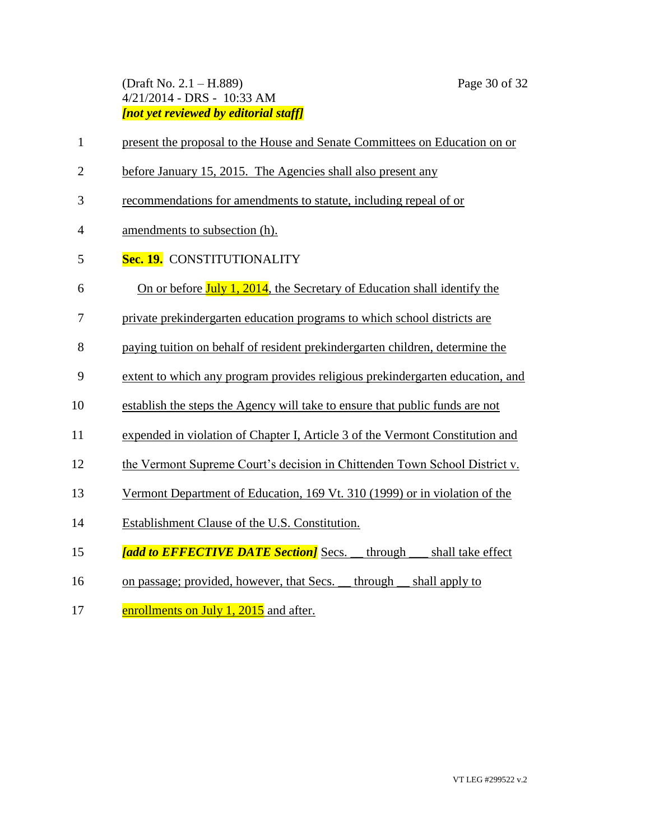#### (Draft No. 2.1 – H.889) Page 30 of 32 4/21/2014 - DRS - 10:33 AM *[not yet reviewed by editorial staff]*

- present the proposal to the House and Senate Committees on Education on or
- before January 15, 2015. The Agencies shall also present any
- recommendations for amendments to statute, including repeal of or
- amendments to subsection (h).
- **Sec. 19.** CONSTITUTIONALITY
- 6 On or before  $\text{July } 1, 2014$ , the Secretary of Education shall identify the
- private prekindergarten education programs to which school districts are
- paying tuition on behalf of resident prekindergarten children, determine the
- extent to which any program provides religious prekindergarten education, and
- establish the steps the Agency will take to ensure that public funds are not
- expended in violation of Chapter I, Article 3 of the Vermont Constitution and
- the Vermont Supreme Court's decision in Chittenden Town School District v.
- Vermont Department of Education, 169 Vt. 310 (1999) or in violation of the
- Establishment Clause of the U.S. Constitution.
- *Ighthermal to EFFECTIVE DATE Section]* Secs. through shall take effect
- 16 on passage; provided, however, that Secs. \_\_ through \_\_ shall apply to
- 17 enrollments on July 1, 2015 and after.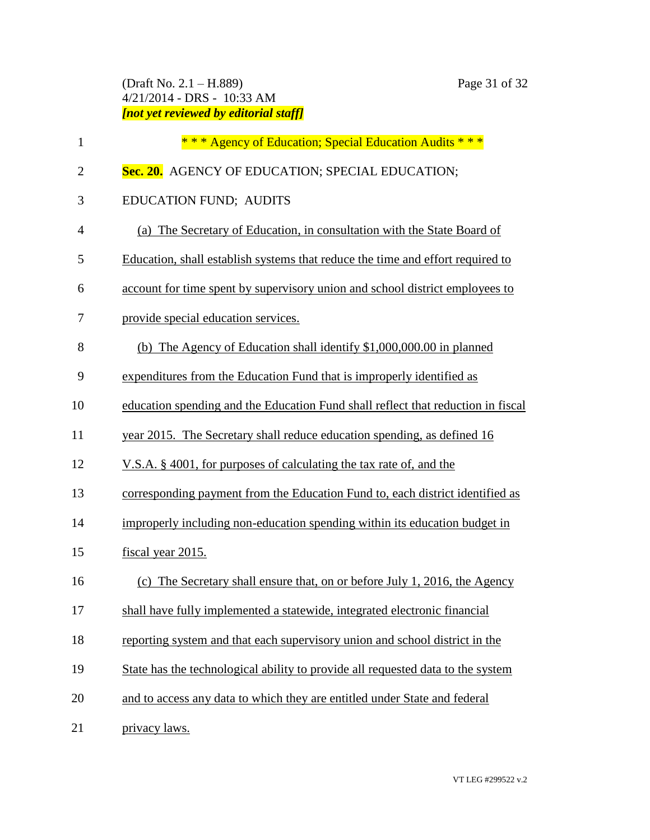(Draft No. 2.1 – H.889) Page 31 of 32 4/21/2014 - DRS - 10:33 AM *[not yet reviewed by editorial staff]*

| $\mathbf{1}$   | *** Agency of Education; Special Education Audits ***                            |  |
|----------------|----------------------------------------------------------------------------------|--|
| $\overline{2}$ | Sec. 20. AGENCY OF EDUCATION; SPECIAL EDUCATION;                                 |  |
| 3              | <b>EDUCATION FUND; AUDITS</b>                                                    |  |
| $\overline{4}$ | (a) The Secretary of Education, in consultation with the State Board of          |  |
| 5              | Education, shall establish systems that reduce the time and effort required to   |  |
| 6              | account for time spent by supervisory union and school district employees to     |  |
| 7              | provide special education services.                                              |  |
| 8              | (b) The Agency of Education shall identify $$1,000,000.00$ in planned            |  |
| 9              | expenditures from the Education Fund that is improperly identified as            |  |
| 10             | education spending and the Education Fund shall reflect that reduction in fiscal |  |
| 11             | year 2015. The Secretary shall reduce education spending, as defined 16          |  |
| 12             | V.S.A. § 4001, for purposes of calculating the tax rate of, and the              |  |
| 13             | corresponding payment from the Education Fund to, each district identified as    |  |
| 14             | improperly including non-education spending within its education budget in       |  |
| 15             | fiscal year 2015.                                                                |  |
| 16             | The Secretary shall ensure that, on or before July 1, 2016, the Agency<br>(c)    |  |
| 17             | shall have fully implemented a statewide, integrated electronic financial        |  |
| 18             | reporting system and that each supervisory union and school district in the      |  |
| 19             | State has the technological ability to provide all requested data to the system  |  |
| 20             | and to access any data to which they are entitled under State and federal        |  |
| 21             | privacy laws.                                                                    |  |